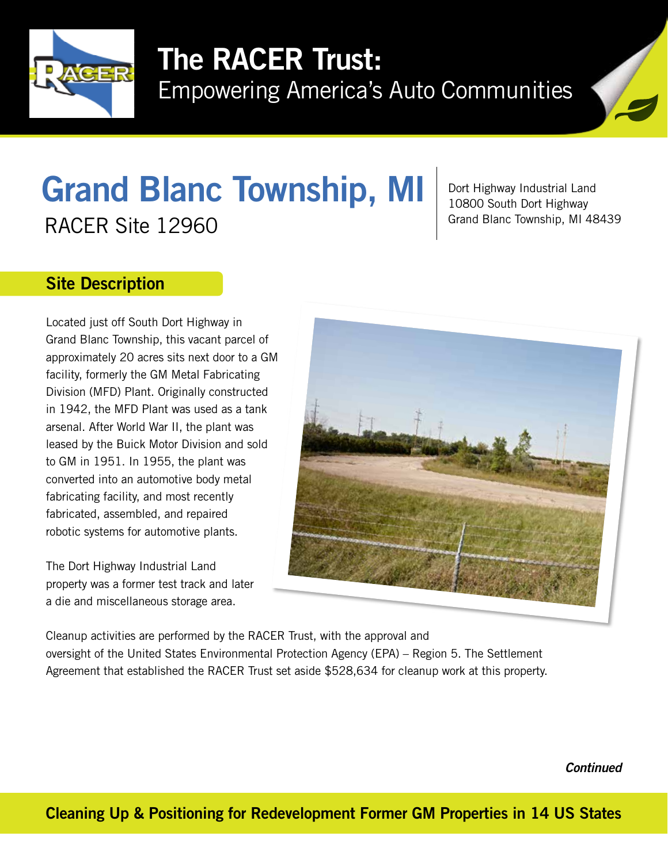

# The RACER Trust:

Empowering America's Auto Communities



## RACER Site 12960 RACER Site 12960 Grand Blanc Township, MI

Dort Highway Industrial Land 10800 South Dort Highway

### Site Description

Located just off South Dort Highway in Grand Blanc Township, this vacant parcel of approximately 20 acres sits next door to a GM facility, formerly the GM Metal Fabricating Division (MFD) Plant. Originally constructed in 1942, the MFD Plant was used as a tank arsenal. After World War II, the plant was leased by the Buick Motor Division and sold to GM in 1951. In 1955, the plant was converted into an automotive body metal fabricating facility, and most recently fabricated, assembled, and repaired robotic systems for automotive plants.

The Dort Highway Industrial Land property was a former test track and later a die and miscellaneous storage area.



Cleanup activities are performed by the RACER Trust, with the approval and oversight of the United States Environmental Protection Agency (EPA) – Region 5. The Settlement Agreement that established the RACER Trust set aside \$528,634 for cleanup work at this property.

*Continued*